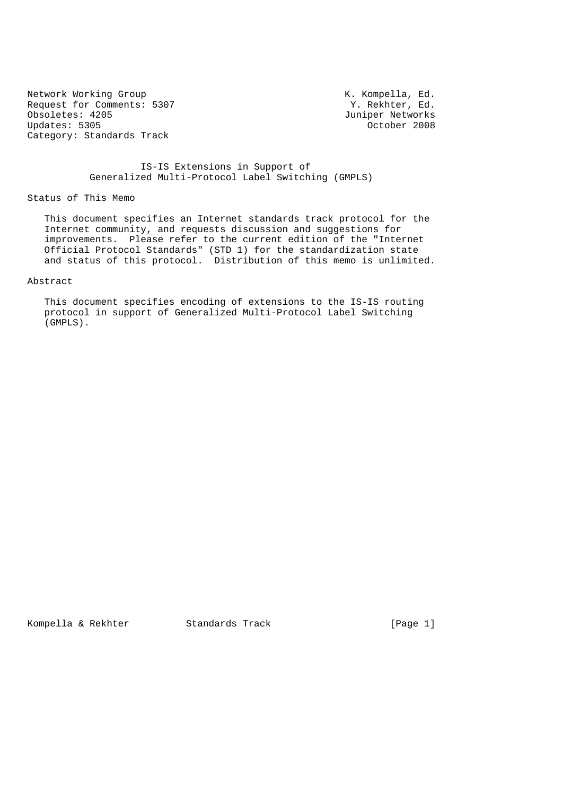Network Working Group<br>Request for Comments: 5307 The Manuscript of the Manuscript of the Reduction of the Reduction of the Reduction<br>Request for Comments: 5307 Request for Comments: 5307 Y. Rekhter, Ed.<br>
Obsoletes: 4205 Obsoletes: 4205<br>
Updates: 5305<br>
Updates: 5305<br>
October 2008 Updates: 5305 Category: Standards Track

# IS-IS Extensions in Support of Generalized Multi-Protocol Label Switching (GMPLS)

#### Status of This Memo

 This document specifies an Internet standards track protocol for the Internet community, and requests discussion and suggestions for improvements. Please refer to the current edition of the "Internet Official Protocol Standards" (STD 1) for the standardization state and status of this protocol. Distribution of this memo is unlimited.

#### Abstract

 This document specifies encoding of extensions to the IS-IS routing protocol in support of Generalized Multi-Protocol Label Switching (GMPLS).

Kompella & Rekhter Standards Track [Page 1]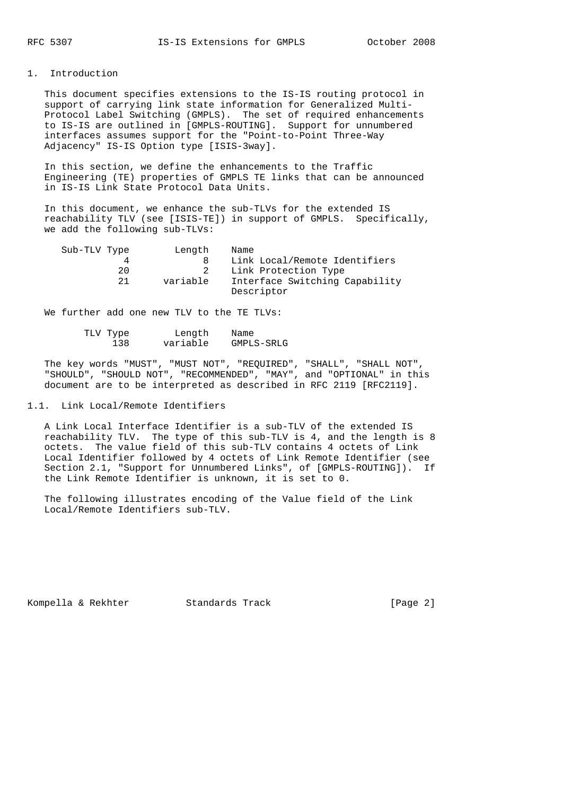## 1. Introduction

 This document specifies extensions to the IS-IS routing protocol in support of carrying link state information for Generalized Multi- Protocol Label Switching (GMPLS). The set of required enhancements to IS-IS are outlined in [GMPLS-ROUTING]. Support for unnumbered interfaces assumes support for the "Point-to-Point Three-Way Adjacency" IS-IS Option type [ISIS-3way].

 In this section, we define the enhancements to the Traffic Engineering (TE) properties of GMPLS TE links that can be announced in IS-IS Link State Protocol Data Units.

 In this document, we enhance the sub-TLVs for the extended IS reachability TLV (see [ISIS-TE]) in support of GMPLS. Specifically, we add the following sub-TLVs:

| Sub-TLV Type | Length   | Name                                         |
|--------------|----------|----------------------------------------------|
|              |          | Link Local/Remote Identifiers                |
| 20           |          | Link Protection Type                         |
| 21           | variable | Interface Switching Capability<br>Descriptor |

We further add one new TLV to the TE TLVs:

| TLV Type | Length   | Name       |
|----------|----------|------------|
| 138      | variable | GMPLS-SRLG |

 The key words "MUST", "MUST NOT", "REQUIRED", "SHALL", "SHALL NOT", "SHOULD", "SHOULD NOT", "RECOMMENDED", "MAY", and "OPTIONAL" in this document are to be interpreted as described in RFC 2119 [RFC2119].

1.1. Link Local/Remote Identifiers

 A Link Local Interface Identifier is a sub-TLV of the extended IS reachability TLV. The type of this sub-TLV is 4, and the length is 8 octets. The value field of this sub-TLV contains 4 octets of Link Local Identifier followed by 4 octets of Link Remote Identifier (see Section 2.1, "Support for Unnumbered Links", of [GMPLS-ROUTING]). If the Link Remote Identifier is unknown, it is set to 0.

 The following illustrates encoding of the Value field of the Link Local/Remote Identifiers sub-TLV.

Kompella & Rekhter Standards Track [Page 2]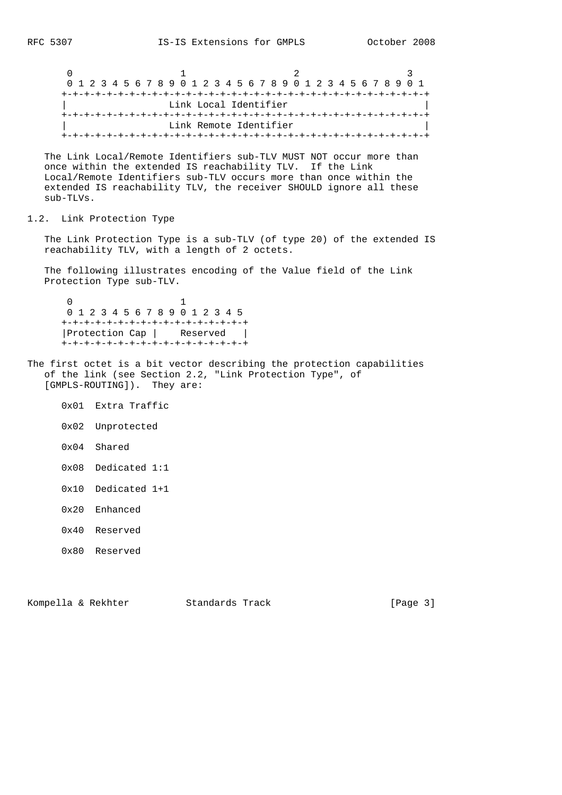$0$  1 2 3 0 1 2 3 4 5 6 7 8 9 0 1 2 3 4 5 6 7 8 9 0 1 2 3 4 5 6 7 8 9 0 1 +-+-+-+-+-+-+-+-+-+-+-+-+-+-+-+-+-+-+-+-+-+-+-+-+-+-+-+-+-+-+-+-+ Link Local Identifier +-+-+-+-+-+-+-+-+-+-+-+-+-+-+-+-+-+-+-+-+-+-+-+-+-+-+-+-+-+-+-+-+ Link Remote Identifier +-+-+-+-+-+-+-+-+-+-+-+-+-+-+-+-+-+-+-+-+-+-+-+-+-+-+-+-+-+-+-+-+

 The Link Local/Remote Identifiers sub-TLV MUST NOT occur more than once within the extended IS reachability TLV. If the Link Local/Remote Identifiers sub-TLV occurs more than once within the extended IS reachability TLV, the receiver SHOULD ignore all these sub-TLVs.

1.2. Link Protection Type

 The Link Protection Type is a sub-TLV (of type 20) of the extended IS reachability TLV, with a length of 2 octets.

 The following illustrates encoding of the Value field of the Link Protection Type sub-TLV.

 $\sim$  0  $\sim$  1 0 1 2 3 4 5 6 7 8 9 0 1 2 3 4 5 +-+-+-+-+-+-+-+-+-+-+-+-+-+-+-+-+ |Protection Cap | Reserved | +-+-+-+-+-+-+-+-+-+-+-+-+-+-+-+-+

The first octet is a bit vector describing the protection capabilities of the link (see Section 2.2, "Link Protection Type", of [GMPLS-ROUTING]). They are:

- 0x01 Extra Traffic
- 0x02 Unprotected
- 0x04 Shared
- 0x08 Dedicated 1:1
- 0x10 Dedicated 1+1
- 0x20 Enhanced
- 0x40 Reserved
- 0x80 Reserved

Kompella & Rekhter Standards Track [Page 3]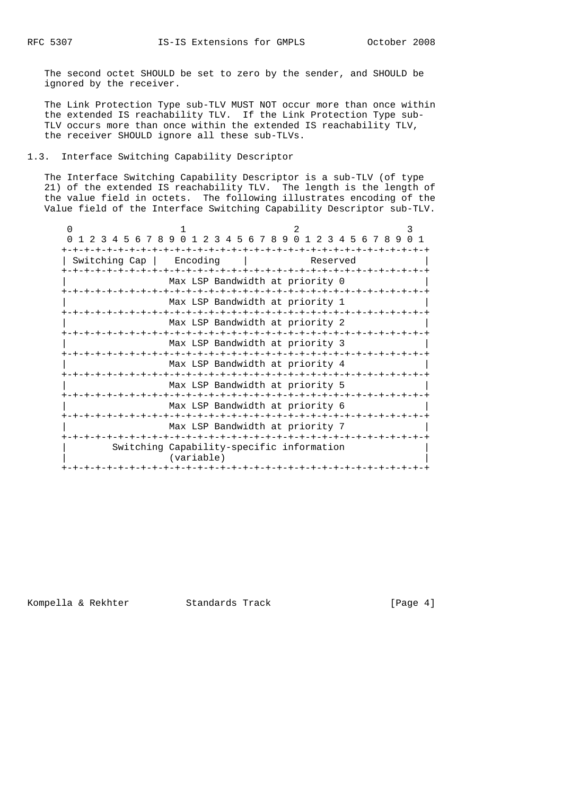The second octet SHOULD be set to zero by the sender, and SHOULD be ignored by the receiver.

 The Link Protection Type sub-TLV MUST NOT occur more than once within the extended IS reachability TLV. If the Link Protection Type sub- TLV occurs more than once within the extended IS reachability TLV, the receiver SHOULD ignore all these sub-TLVs.

## 1.3. Interface Switching Capability Descriptor

 The Interface Switching Capability Descriptor is a sub-TLV (of type 21) of the extended IS reachability TLV. The length is the length of the value field in octets. The following illustrates encoding of the Value field of the Interface Switching Capability Descriptor sub-TLV.

| ∩             |                                                           |                                           |  |            |  |                                 |  |          |  |  |            |  |
|---------------|-----------------------------------------------------------|-------------------------------------------|--|------------|--|---------------------------------|--|----------|--|--|------------|--|
|               | 1 2 3 4 5 6 7 8 9 0 1 2 3 4 5 6 7 8 9 0 1 2 3 4 5 6 7 8 9 |                                           |  |            |  |                                 |  |          |  |  |            |  |
| Switching Cap |                                                           |                                           |  | Encoding   |  |                                 |  | Reserved |  |  | -+-+-+-+-+ |  |
|               |                                                           |                                           |  |            |  | Max LSP Bandwidth at priority 0 |  |          |  |  |            |  |
|               |                                                           |                                           |  |            |  | Max LSP Bandwidth at priority 1 |  |          |  |  |            |  |
|               |                                                           |                                           |  |            |  | Max LSP Bandwidth at priority 2 |  |          |  |  |            |  |
|               |                                                           |                                           |  |            |  | Max LSP Bandwidth at priority 3 |  |          |  |  |            |  |
|               |                                                           |                                           |  |            |  | Max LSP Bandwidth at priority 4 |  |          |  |  |            |  |
|               |                                                           |                                           |  |            |  | Max LSP Bandwidth at priority 5 |  |          |  |  |            |  |
|               |                                                           |                                           |  |            |  | Max LSP Bandwidth at priority 6 |  |          |  |  |            |  |
|               |                                                           |                                           |  |            |  | Max LSP Bandwidth at priority 7 |  |          |  |  |            |  |
|               |                                                           | Switching Capability-specific information |  | (variable) |  |                                 |  |          |  |  |            |  |
|               |                                                           |                                           |  |            |  |                                 |  |          |  |  |            |  |

Kompella & Rekhter Standards Track [Page 4]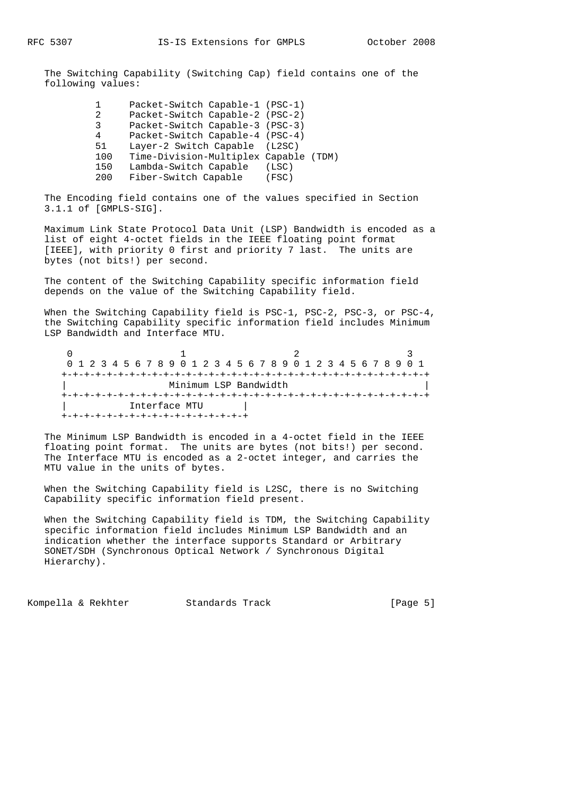The Switching Capability (Switching Cap) field contains one of the following values:

> 1 Packet-Switch Capable-1 (PSC-1) 2 Packet-Switch Capable-2 (PSC-2) 3 Packet-Switch Capable-3 (PSC-3) 4 Packet-Switch Capable-4 (PSC-4) 51 Layer-2 Switch Capable (L2SC) 100 Time-Division-Multiplex Capable (TDM) 150 Lambda-Switch Capable (LSC) 200 Fiber-Switch Capable (FSC)

 The Encoding field contains one of the values specified in Section 3.1.1 of [GMPLS-SIG].

 Maximum Link State Protocol Data Unit (LSP) Bandwidth is encoded as a list of eight 4-octet fields in the IEEE floating point format [IEEE], with priority 0 first and priority 7 last. The units are bytes (not bits!) per second.

 The content of the Switching Capability specific information field depends on the value of the Switching Capability field.

When the Switching Capability field is PSC-1, PSC-2, PSC-3, or PSC-4, the Switching Capability specific information field includes Minimum LSP Bandwidth and Interface MTU.

|  | 0 1 2 3 4 5 6 7 8 9 0 1 2 3 4 5 6 7 8 9 0 1 2 3 4 5 6 7 8 9 0 1 |  |  |               |  |  |  |  |  |  |  |                       |  |  |  |  |  |  |  |  |  |  |  |  |  |  |
|--|-----------------------------------------------------------------|--|--|---------------|--|--|--|--|--|--|--|-----------------------|--|--|--|--|--|--|--|--|--|--|--|--|--|--|
|  |                                                                 |  |  |               |  |  |  |  |  |  |  |                       |  |  |  |  |  |  |  |  |  |  |  |  |  |  |
|  |                                                                 |  |  |               |  |  |  |  |  |  |  | Minimum LSP Bandwidth |  |  |  |  |  |  |  |  |  |  |  |  |  |  |
|  |                                                                 |  |  |               |  |  |  |  |  |  |  |                       |  |  |  |  |  |  |  |  |  |  |  |  |  |  |
|  |                                                                 |  |  | Interface MTU |  |  |  |  |  |  |  |                       |  |  |  |  |  |  |  |  |  |  |  |  |  |  |
|  |                                                                 |  |  |               |  |  |  |  |  |  |  |                       |  |  |  |  |  |  |  |  |  |  |  |  |  |  |

 The Minimum LSP Bandwidth is encoded in a 4-octet field in the IEEE floating point format. The units are bytes (not bits!) per second. The Interface MTU is encoded as a 2-octet integer, and carries the MTU value in the units of bytes.

 When the Switching Capability field is L2SC, there is no Switching Capability specific information field present.

 When the Switching Capability field is TDM, the Switching Capability specific information field includes Minimum LSP Bandwidth and an indication whether the interface supports Standard or Arbitrary SONET/SDH (Synchronous Optical Network / Synchronous Digital Hierarchy).

Kompella & Rekhter Standards Track [Page 5]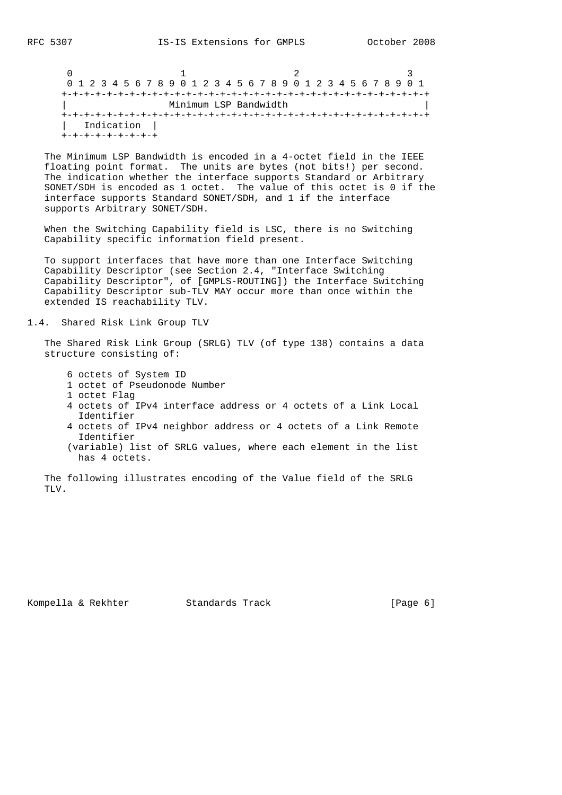| 0 1 2 3 4 5 6 7 8 9 0 1 2 3 4 5 6 7 8 9 0 1 2 3 4 5 6 7 8 9 0 1 |  |             |  |  |  |                       |  |  |  |  |  |  |  |  |  |
|-----------------------------------------------------------------|--|-------------|--|--|--|-----------------------|--|--|--|--|--|--|--|--|--|
|                                                                 |  |             |  |  |  |                       |  |  |  |  |  |  |  |  |  |
|                                                                 |  |             |  |  |  | Minimum LSP Bandwidth |  |  |  |  |  |  |  |  |  |
|                                                                 |  |             |  |  |  |                       |  |  |  |  |  |  |  |  |  |
|                                                                 |  | Indication  |  |  |  |                       |  |  |  |  |  |  |  |  |  |
|                                                                 |  | +-+-+-+-+-+ |  |  |  |                       |  |  |  |  |  |  |  |  |  |

 The Minimum LSP Bandwidth is encoded in a 4-octet field in the IEEE floating point format. The units are bytes (not bits!) per second. The indication whether the interface supports Standard or Arbitrary SONET/SDH is encoded as 1 octet. The value of this octet is 0 if the interface supports Standard SONET/SDH, and 1 if the interface supports Arbitrary SONET/SDH.

 When the Switching Capability field is LSC, there is no Switching Capability specific information field present.

 To support interfaces that have more than one Interface Switching Capability Descriptor (see Section 2.4, "Interface Switching Capability Descriptor", of [GMPLS-ROUTING]) the Interface Switching Capability Descriptor sub-TLV MAY occur more than once within the extended IS reachability TLV.

1.4. Shared Risk Link Group TLV

 The Shared Risk Link Group (SRLG) TLV (of type 138) contains a data structure consisting of:

- 6 octets of System ID
- 1 octet of Pseudonode Number
- 1 octet Flag
- 4 octets of IPv4 interface address or 4 octets of a Link Local Identifier
- 4 octets of IPv4 neighbor address or 4 octets of a Link Remote Identifier
- (variable) list of SRLG values, where each element in the list has 4 octets.

 The following illustrates encoding of the Value field of the SRLG TLV.

Kompella & Rekhter Standards Track [Page 6]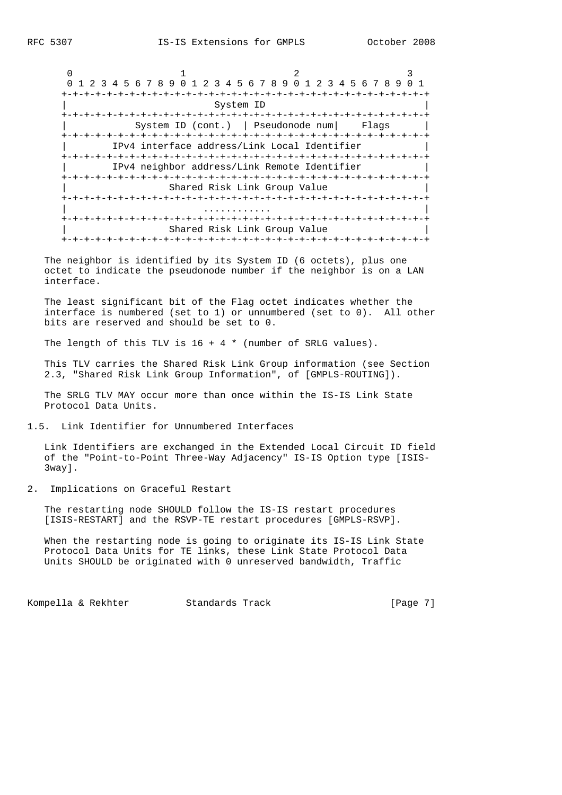$0$  1 2 3 0 1 2 3 4 5 6 7 8 9 0 1 2 3 4 5 6 7 8 9 0 1 2 3 4 5 6 7 8 9 0 1 +-+-+-+-+-+-+-+-+-+-+-+-+-+-+-+-+-+-+-+-+-+-+-+-+-+-+-+-+-+-+-+-+ System ID +-+-+-+-+-+-+-+-+-+-+-+-+-+-+-+-+-+-+-+-+-+-+-+-+-+-+-+-+-+-+-+-+ System ID (cont.) | Pseudonode num| Flags +-+-+-+-+-+-+-+-+-+-+-+-+-+-+-+-+-+-+-+-+-+-+-+-+-+-+-+-+-+-+-+-+ | IPv4 interface address/Link Local Identifier | +-+-+-+-+-+-+-+-+-+-+-+-+-+-+-+-+-+-+-+-+-+-+-+-+-+-+-+-+-+-+-+-+ | IPv4 neighbor address/Link Remote Identifier | +-+-+-+-+-+-+-+-+-+-+-+-+-+-+-+-+-+-+-+-+-+-+-+-+-+-+-+-+-+-+-+-+ Shared Risk Link Group Value +-+-+-+-+-+-+-+-+-+-+-+-+-+-+-+-+-+-+-+-+-+-+-+-+-+-+-+-+-+-+-+-+ | ............ | +-+-+-+-+-+-+-+-+-+-+-+-+-+-+-+-+-+-+-+-+-+-+-+-+-+-+-+-+-+-+-+-+ Shared Risk Link Group Value +-+-+-+-+-+-+-+-+-+-+-+-+-+-+-+-+-+-+-+-+-+-+-+-+-+-+-+-+-+-+-+-+

 The neighbor is identified by its System ID (6 octets), plus one octet to indicate the pseudonode number if the neighbor is on a LAN interface.

 The least significant bit of the Flag octet indicates whether the interface is numbered (set to 1) or unnumbered (set to 0). All other bits are reserved and should be set to 0.

The length of this TLV is  $16 + 4 *$  (number of SRLG values).

 This TLV carries the Shared Risk Link Group information (see Section 2.3, "Shared Risk Link Group Information", of [GMPLS-ROUTING]).

 The SRLG TLV MAY occur more than once within the IS-IS Link State Protocol Data Units.

1.5. Link Identifier for Unnumbered Interfaces

 Link Identifiers are exchanged in the Extended Local Circuit ID field of the "Point-to-Point Three-Way Adjacency" IS-IS Option type [ISIS- 3way].

2. Implications on Graceful Restart

 The restarting node SHOULD follow the IS-IS restart procedures [ISIS-RESTART] and the RSVP-TE restart procedures [GMPLS-RSVP].

 When the restarting node is going to originate its IS-IS Link State Protocol Data Units for TE links, these Link State Protocol Data Units SHOULD be originated with 0 unreserved bandwidth, Traffic

Kompella & Rekhter Standards Track [Page 7]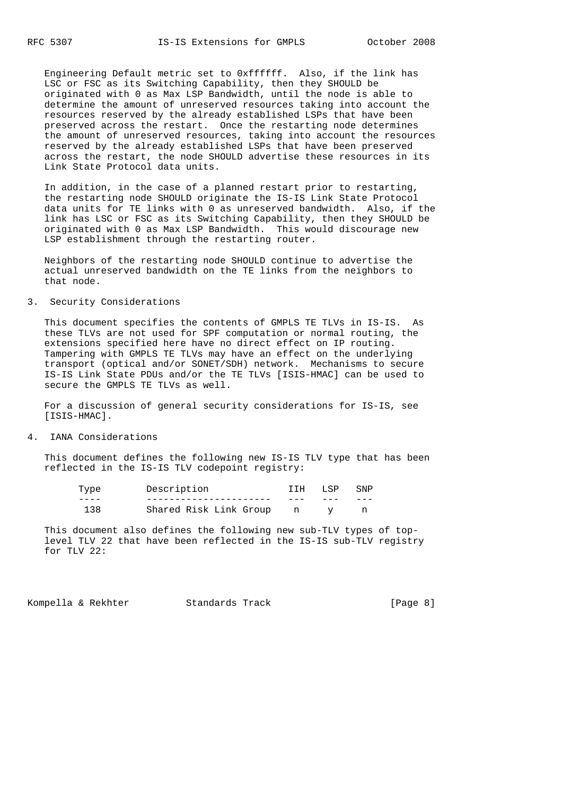Engineering Default metric set to 0xffffff. Also, if the link has LSC or FSC as its Switching Capability, then they SHOULD be originated with 0 as Max LSP Bandwidth, until the node is able to determine the amount of unreserved resources taking into account the resources reserved by the already established LSPs that have been preserved across the restart. Once the restarting node determines the amount of unreserved resources, taking into account the resources reserved by the already established LSPs that have been preserved across the restart, the node SHOULD advertise these resources in its Link State Protocol data units.

 In addition, in the case of a planned restart prior to restarting, the restarting node SHOULD originate the IS-IS Link State Protocol data units for TE links with 0 as unreserved bandwidth. Also, if the link has LSC or FSC as its Switching Capability, then they SHOULD be originated with 0 as Max LSP Bandwidth. This would discourage new LSP establishment through the restarting router.

 Neighbors of the restarting node SHOULD continue to advertise the actual unreserved bandwidth on the TE links from the neighbors to that node.

## 3. Security Considerations

 This document specifies the contents of GMPLS TE TLVs in IS-IS. As these TLVs are not used for SPF computation or normal routing, the extensions specified here have no direct effect on IP routing. Tampering with GMPLS TE TLVs may have an effect on the underlying transport (optical and/or SONET/SDH) network. Mechanisms to secure IS-IS Link State PDUs and/or the TE TLVs [ISIS-HMAC] can be used to secure the GMPLS TE TLVs as well.

 For a discussion of general security considerations for IS-IS, see [ISIS-HMAC].

# 4. IANA Considerations

 This document defines the following new IS-IS TLV type that has been reflected in the IS-IS TLV codepoint registry:

| Type | Description            | ם ד' | T.SP | SNP |
|------|------------------------|------|------|-----|
|      |                        |      |      |     |
| 138  | Shared Risk Link Group | n    |      |     |

 This document also defines the following new sub-TLV types of top level TLV 22 that have been reflected in the IS-IS sub-TLV registry for TLV 22:

Kompella & Rekhter Standards Track [Page 8]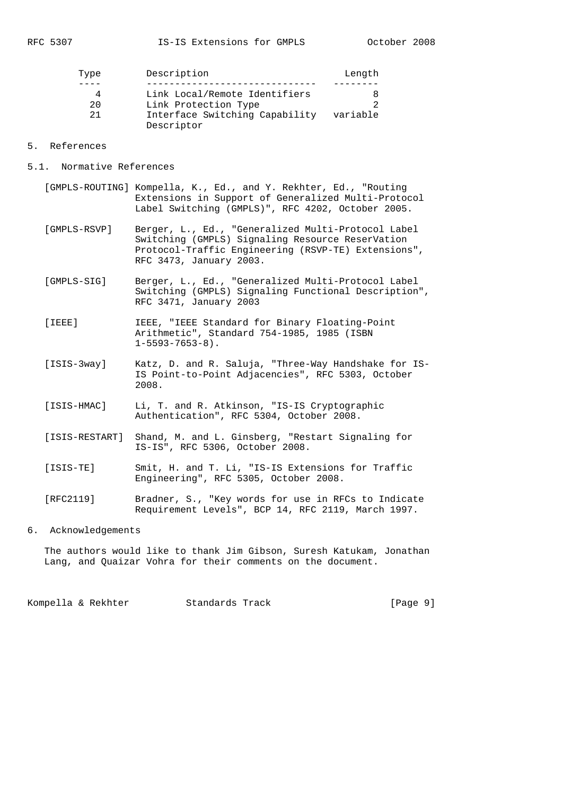| Type | Description                    | Length   |
|------|--------------------------------|----------|
|      |                                |          |
| 4    | Link Local/Remote Identifiers  | 8        |
| 20   | Link Protection Type           |          |
| 2.1  | Interface Switching Capability | variable |
|      | Descriptor                     |          |

#### 5. References

- 5.1. Normative References
	- [GMPLS-ROUTING] Kompella, K., Ed., and Y. Rekhter, Ed., "Routing Extensions in Support of Generalized Multi-Protocol Label Switching (GMPLS)", RFC 4202, October 2005.
	- [GMPLS-RSVP] Berger, L., Ed., "Generalized Multi-Protocol Label Switching (GMPLS) Signaling Resource ReserVation Protocol-Traffic Engineering (RSVP-TE) Extensions", RFC 3473, January 2003.
	- [GMPLS-SIG] Berger, L., Ed., "Generalized Multi-Protocol Label Switching (GMPLS) Signaling Functional Description", RFC 3471, January 2003
	- [IEEE] IEEE, "IEEE Standard for Binary Floating-Point Arithmetic", Standard 754-1985, 1985 (ISBN  $1-5593-7653-8$ ).
	- [ISIS-3way] Katz, D. and R. Saluja, "Three-Way Handshake for IS- IS Point-to-Point Adjacencies", RFC 5303, October 2008.
	- [ISIS-HMAC] Li, T. and R. Atkinson, "IS-IS Cryptographic Authentication", RFC 5304, October 2008.
	- [ISIS-RESTART] Shand, M. and L. Ginsberg, "Restart Signaling for IS-IS", RFC 5306, October 2008.
	- [ISIS-TE] Smit, H. and T. Li, "IS-IS Extensions for Traffic Engineering", RFC 5305, October 2008.
	- [RFC2119] Bradner, S., "Key words for use in RFCs to Indicate Requirement Levels", BCP 14, RFC 2119, March 1997.

# 6. Acknowledgements

 The authors would like to thank Jim Gibson, Suresh Katukam, Jonathan Lang, and Quaizar Vohra for their comments on the document.

Kompella & Rekhter Standards Track [Page 9]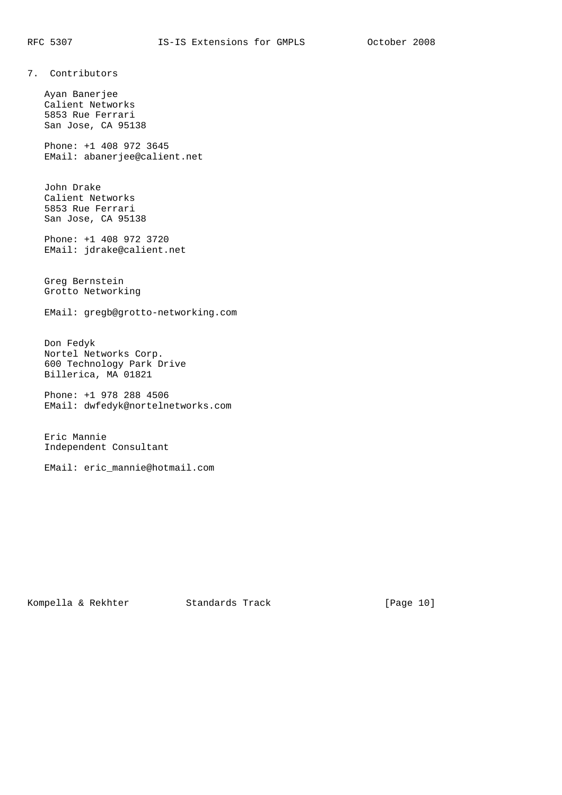7. Contributors

 Ayan Banerjee Calient Networks 5853 Rue Ferrari San Jose, CA 95138

 Phone: +1 408 972 3645 EMail: abanerjee@calient.net

 John Drake Calient Networks 5853 Rue Ferrari San Jose, CA 95138

 Phone: +1 408 972 3720 EMail: jdrake@calient.net

 Greg Bernstein Grotto Networking

EMail: gregb@grotto-networking.com

 Don Fedyk Nortel Networks Corp. 600 Technology Park Drive Billerica, MA 01821

 Phone: +1 978 288 4506 EMail: dwfedyk@nortelnetworks.com

 Eric Mannie Independent Consultant

EMail: eric\_mannie@hotmail.com

Kompella & Rekhter Standards Track [Page 10]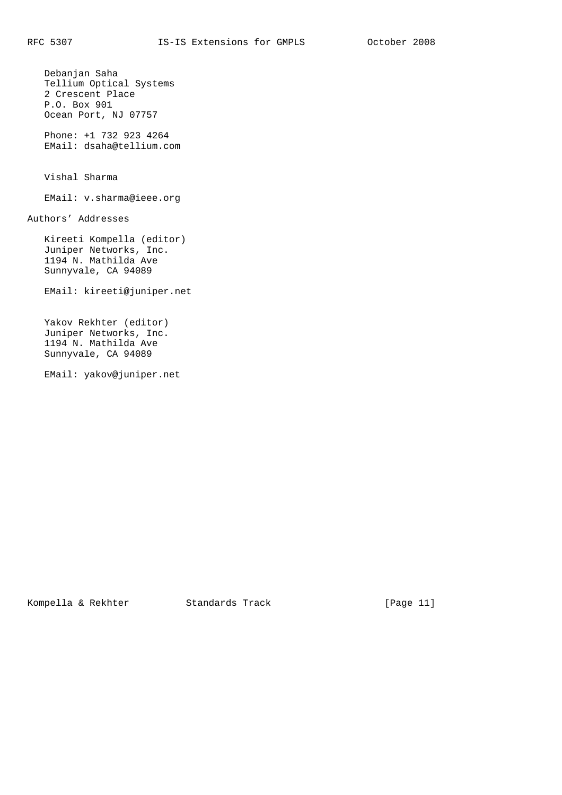Debanjan Saha Tellium Optical Systems 2 Crescent Place P.O. Box 901 Ocean Port, NJ 07757 Phone: +1 732 923 4264 EMail: dsaha@tellium.com Vishal Sharma EMail: v.sharma@ieee.org Authors' Addresses Kireeti Kompella (editor) Juniper Networks, Inc. 1194 N. Mathilda Ave Sunnyvale, CA 94089 EMail: kireeti@juniper.net Yakov Rekhter (editor) Juniper Networks, Inc. 1194 N. Mathilda Ave

Sunnyvale, CA 94089

EMail: yakov@juniper.net

Kompella & Rekhter Standards Track [Page 11]